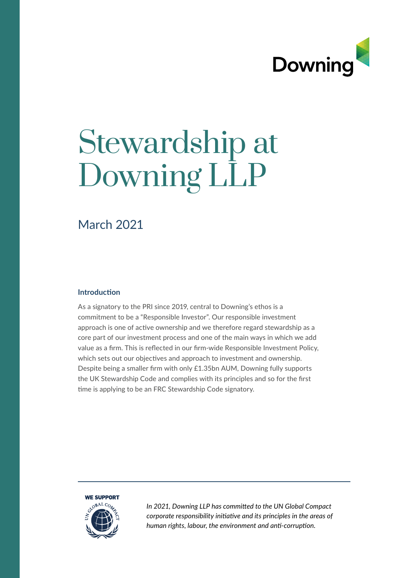

## Stewardship at Downing LLP

### March 2021

### **Introduction**

As a signatory to the PRI since 2019, central to Downing's ethos is a commitment to be a "Responsible Investor". Our responsible investment approach is one of active ownership and we therefore regard stewardship as a core part of our investment process and one of the main ways in which we add value as a frm. This is refected in our frm-wide Responsible Investment Policy, which sets out our objectives and approach to investment and ownership. Despite being a smaller frm with only £1.35bn AUM, Downing fully supports the UK Stewardship Code and complies with its principles and so for the frst tme is applying to be an FRC Stewardship Code signatory.



*In 2021, Downing LLP has commited to the UN Global Compact corporate responsibility initatve and its principles in the areas of human rights, labour, the environment and ant-corrupton.*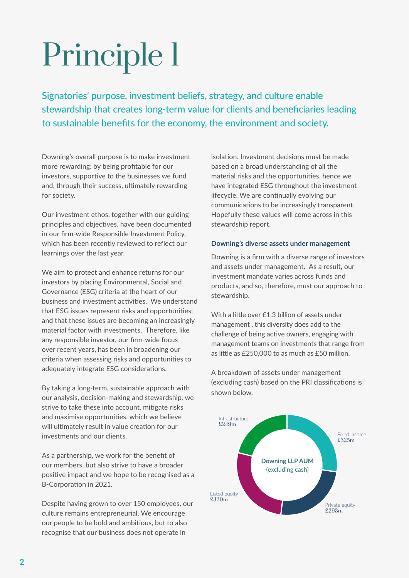Signatories' purpose, investment beliefs, strategy, and culture enable stewardship that creates long-term value for clients and benefciaries leading to sustainable benefts for the economy, the environment and society.

Downing's overall purpose is to make investment more rewarding: by being proftable for our investors, supportive to the businesses we fund and, through their success, ultimately rewarding for society.

Our investment ethos, together with our guiding principles and objectives, have been documented in our frm-wide Responsible Investment Policy, which has been recently reviewed to refect our learnings over the last year.

We aim to protect and enhance returns for our investors by placing Environmental, Social and Governance (ESG) criteria at the heart of our business and investment activities. We understand that ESG issues represent risks and opportunities; and that these issues are becoming an increasingly material factor with investments. Therefore, like any responsible investor, our frm-wide focus over recent years, has been in broadening our criteria when assessing risks and opportunities to adequately integrate ESG considerations.

By taking a long-term, sustainable approach with our analysis, decision-making and stewardship, we strive to take these into account, mitgate risks and maximise opportunities, which we believe will ultimately result in value creation for our investments and our clients.

As a partnership, we work for the beneft of our members, but also strive to have a broader positve impact and we hope to be recognised as a B-Corporation in 2021.

Despite having grown to over 150 employees, our culture remains entrepreneurial. We encourage our people to be bold and ambitious, but to also recognise that our business does not operate in

isolation. Investment decisions must be made based on a broad understanding of all the material risks and the opportunities, hence we have integrated ESG throughout the investment lifecycle. We are continually evolving our communications to be increasingly transparent. Hopefully these values will come across in this stewardship report.

### **Downing's diverse assets under management**

Downing is a frm with a diverse range of investors and assets under management. As a result, our investment mandate varies across funds and products, and so, therefore, must our approach to stewardship.

With a little over £1.3 billion of assets under management , this diversity does add to the challenge of being active owners, engaging with management teams on investments that range from as litle as £250,000 to as much as £50 million.

A breakdown of assets under management (excluding cash) based on the PRI classifications is shown below.

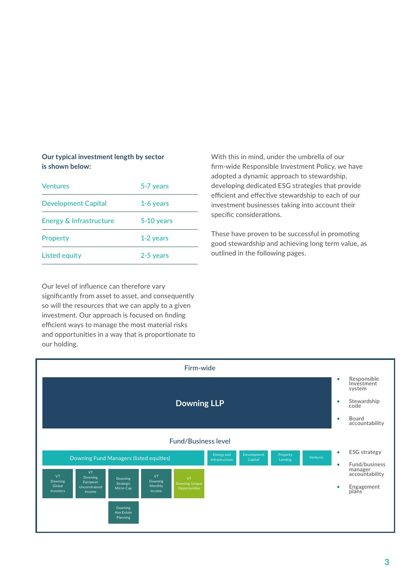### **Our typical investment length by sector is shown below:**

| <b>Ventures</b>            | 5-7 years  |
|----------------------------|------------|
| <b>Development Capital</b> | 1-6 years  |
| Energy & Infrastructure    | 5-10 years |
| Property                   | 1-2 years  |
| <b>Listed equity</b>       | 2-5 years  |

Our level of infuence can therefore vary signifcantly from asset to asset, and consequently so will the resources that we can apply to a given investment. Our approach is focused on fnding efficient ways to manage the most material risks and opportunities in a way that is proportionate to our holding.

With this in mind, under the umbrella of our frm-wide Responsible Investment Policy, we have adopted a dynamic approach to stewardship, developing dedicated ESG strategies that provide efficient and effective stewardship to each of our investment businesses taking into account their specific considerations.

These have proven to be successful in promoting good stewardship and achieving long term value, as outlined in the following pages.

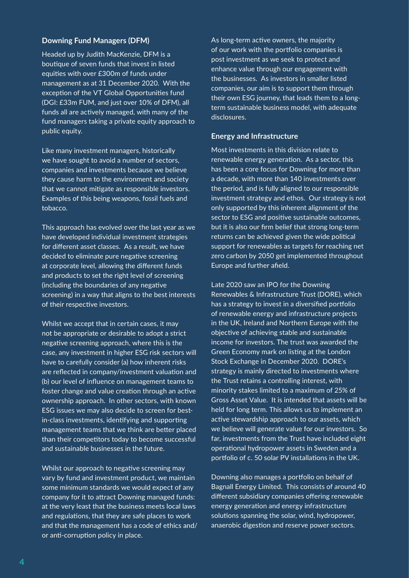### **Downing Fund Managers (DFM)**

Headed up by Judith MacKenzie, DFM is a boutique of seven funds that invest in listed equities with over £300m of funds under management as at 31 December 2020. With the exception of the VT Global Opportunities fund (DGI: £33m FUM, and just over 10% of DFM), all funds all are actively managed, with many of the fund managers taking a private equity approach to public equity.

Like many investment managers, historically we have sought to avoid a number of sectors, companies and investments because we believe they cause harm to the environment and society that we cannot mitgate as responsible investors. Examples of this being weapons, fossil fuels and tobacco.

This approach has evolved over the last year as we have developed individual investment strategies for diferent asset classes. As a result, we have decided to eliminate pure negative screening at corporate level, allowing the diferent funds and products to set the right level of screening (including the boundaries of any negative screening) in a way that aligns to the best interests of their respective investors.

Whilst we accept that in certain cases, it may not be appropriate or desirable to adopt a strict negative screening approach, where this is the case, any investment in higher ESG risk sectors will have to carefully consider (a) how inherent risks are reflected in company/investment valuation and (b) our level of infuence on management teams to foster change and value creation through an active ownership approach. In other sectors, with known ESG issues we may also decide to screen for bestin-class investments, identifying and supporting management teams that we think are better placed than their competitors today to become successful and sustainable businesses in the future.

Whilst our approach to negative screening may vary by fund and investment product, we maintain some minimum standards we would expect of any company for it to atract Downing managed funds: at the very least that the business meets local laws and regulations, that they are safe places to work and that the management has a code of ethics and/ or anti-corruption policy in place.

As long-term active owners, the majority of our work with the portfolio companies is post investment as we seek to protect and enhance value through our engagement with the businesses. As investors in smaller listed companies, our aim is to support them through their own ESG journey, that leads them to a longterm sustainable business model, with adequate disclosures.

### **Energy and Infrastructure**

Most investments in this division relate to renewable energy generation. As a sector, this has been a core focus for Downing for more than a decade, with more than 140 investments over the period, and is fully aligned to our responsible investment strategy and ethos. Our strategy is not only supported by this inherent alignment of the sector to ESG and positive sustainable outcomes, but it is also our frm belief that strong long-term returns can be achieved given the wide political support for renewables as targets for reaching net zero carbon by 2050 get implemented throughout Europe and further afeld.

Late 2020 saw an IPO for the Downing Renewables & Infrastructure Trust (DORE), which has a strategy to invest in a diversified portfolio of renewable energy and infrastructure projects in the UK, Ireland and Northern Europe with the objective of achieving stable and sustainable income for investors. The trust was awarded the Green Economy mark on listing at the London Stock Exchange in December 2020. DORE's strategy is mainly directed to investments where the Trust retains a controlling interest, with minority stakes limited to a maximum of 25% of Gross Asset Value. It is intended that assets will be held for long term. This allows us to implement an active stewardship approach to our assets, which we believe will generate value for our investors. So far, investments from the Trust have included eight operational hydropower assets in Sweden and a portfolio of c. 50 solar PV installations in the UK.

Downing also manages a portfolio on behalf of Bagnall Energy Limited. This consists of around 40 diferent subsidiary companies ofering renewable energy generation and energy infrastructure solutions spanning the solar, wind, hydropower, anaerobic digestion and reserve power sectors.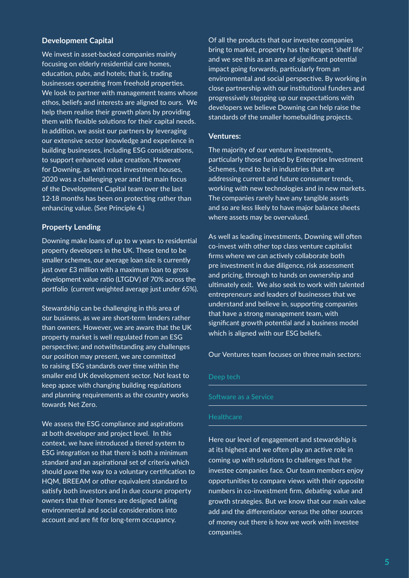### **Development Capital**

We invest in asset-backed companies mainly focusing on elderly residential care homes, education, pubs, and hotels; that is, trading businesses operating from freehold properties. We look to partner with management teams whose ethos, beliefs and interests are aligned to ours. We help them realise their growth plans by providing them with flexible solutions for their capital needs. In addition, we assist our partners by leveraging our extensive sector knowledge and experience in building businesses, including ESG considerations, to support enhanced value creation. However for Downing, as with most investment houses, 2020 was a challenging year and the main focus of the Development Capital team over the last 12-18 months has been on protecting rather than enhancing value. (See Principle 4.)

### **Property Lending**

Downing make loans of up to w years to residental property developers in the UK. These tend to be smaller schemes, our average loan size is currently just over £3 million with a maximum loan to gross development value ratio (LTGDV) of 70% across the portfolio (current weighted average just under 65%).

Stewardship can be challenging in this area of our business, as we are short-term lenders rather than owners. However, we are aware that the UK property market is well regulated from an ESG perspective; and notwithstanding any challenges our position may present, we are committed to raising ESG standards over time within the smaller end UK development sector. Not least to keep apace with changing building regulations and planning requirements as the country works towards Net Zero.

We assess the ESG compliance and aspirations at both developer and project level. In this context, we have introduced a tiered system to ESG integration so that there is both a minimum standard and an aspirational set of criteria which should pave the way to a voluntary certification to HQM, BREEAM or other equivalent standard to satisfy both investors and in due course property owners that their homes are designed taking environmental and social considerations into account and are ft for long-term occupancy.

Of all the products that our investee companies bring to market, property has the longest 'shelf life' and we see this as an area of signifcant potental impact going forwards, particularly from an environmental and social perspective. By working in close partnership with our institutional funders and progressively stepping up our expectatons with developers we believe Downing can help raise the standards of the smaller homebuilding projects.

### **Ventures:**

The majority of our venture investments, particularly those funded by Enterprise Investment Schemes, tend to be in industries that are addressing current and future consumer trends, working with new technologies and in new markets. The companies rarely have any tangible assets and so are less likely to have major balance sheets where assets may be overvalued.

As well as leading investments, Downing will often co-invest with other top class venture capitalist firms where we can actively collaborate both pre investment in due diligence, risk assessment and pricing, through to hands on ownership and ultmately exit. We also seek to work with talented entrepreneurs and leaders of businesses that we understand and believe in, supporting companies that have a strong management team, with significant growth potential and a business model which is aligned with our ESG beliefs.

Our Ventures team focuses on three main sectors:

Software as a Service

### **Healthcare**

Here our level of engagement and stewardship is at its highest and we often play an active role in coming up with solutions to challenges that the investee companies face. Our team members enjoy opportunites to compare views with their opposite numbers in co-investment firm, debating value and growth strategies. But we know that our main value add and the differentiator versus the other sources of money out there is how we work with investee companies.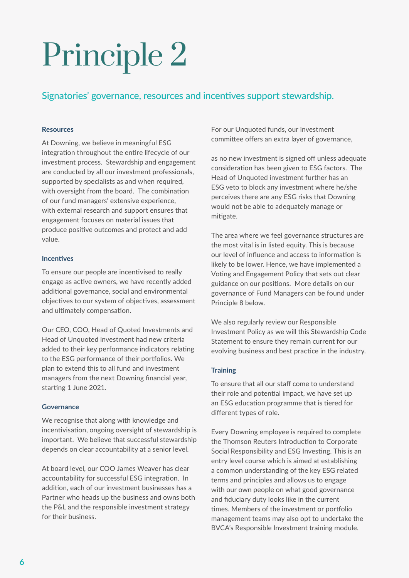### Signatories' governance, resources and incentves support stewardship.

### **Resources**

At Downing, we believe in meaningful ESG integration throughout the entire lifecycle of our investment process. Stewardship and engagement are conducted by all our investment professionals, supported by specialists as and when required, with oversight from the board. The combination of our fund managers' extensive experience, with external research and support ensures that engagement focuses on material issues that produce positve outcomes and protect and add value.

### **Incentives**

To ensure our people are incentivised to really engage as active owners, we have recently added additional governance, social and environmental objectives to our system of objectives, assessment and ultimately compensation.

Our CEO, COO, Head of Quoted Investments and Head of Unquoted investment had new criteria added to their key performance indicators relating to the ESG performance of their portfolios. We plan to extend this to all fund and investment managers from the next Downing fnancial year, starting 1 June 2021.

### **Governance**

We recognise that along with knowledge and incentivisation, ongoing oversight of stewardship is important. We believe that successful stewardship depends on clear accountability at a senior level.

At board level, our COO James Weaver has clear accountability for successful ESG integration. In additon, each of our investment businesses has a Partner who heads up the business and owns both the P&L and the responsible investment strategy for their business.

For our Unquoted funds, our investment committee offers an extra layer of governance,

as no new investment is signed off unless adequate consideration has been given to ESG factors. The Head of Unquoted investment further has an ESG veto to block any investment where he/she perceives there are any ESG risks that Downing would not be able to adequately manage or mitigate.

The area where we feel governance structures are the most vital is in listed equity. This is because our level of influence and access to information is likely to be lower. Hence, we have implemented a Voting and Engagement Policy that sets out clear guidance on our positons. More details on our governance of Fund Managers can be found under Principle 8 below.

We also regularly review our Responsible Investment Policy as we will this Stewardship Code Statement to ensure they remain current for our evolving business and best practice in the industry.

### **Training**

To ensure that all our staff come to understand their role and potential impact, we have set up an ESG education programme that is tiered for diferent types of role.

Every Downing employee is required to complete the Thomson Reuters Introduction to Corporate Social Responsibility and ESG Investing. This is an entry level course which is aimed at establishing a common understanding of the key ESG related terms and principles and allows us to engage with our own people on what good governance and fduciary duty looks like in the current times. Members of the investment or portfolio management teams may also opt to undertake the BVCA's Responsible Investment training module.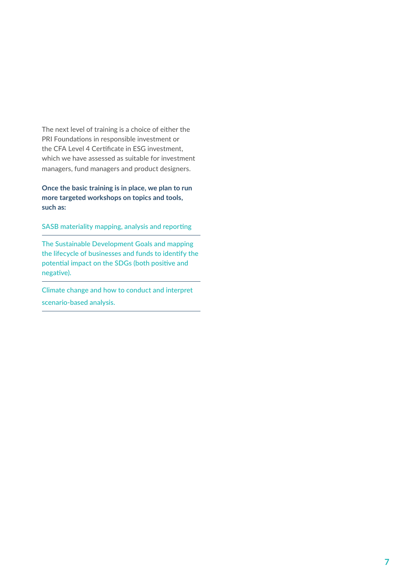The next level of training is a choice of either the PRI Foundations in responsible investment or the CFA Level 4 Certificate in ESG investment. which we have assessed as suitable for investment managers, fund managers and product designers.

**Once the basic training is in place, we plan to run more targeted workshops on topics and tools, such as:**

SASB materiality mapping, analysis and reporting

The Sustainable Development Goals and mapping the lifecycle of businesses and funds to identfy the potential impact on the SDGs (both positive and negative).

Climate change and how to conduct and interpret scenario-based analysis.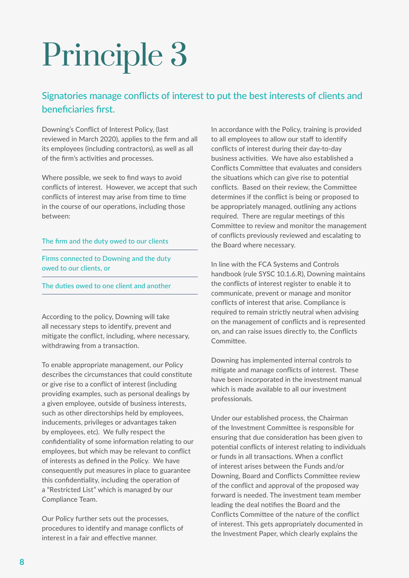### Signatories manage conficts of interest to put the best interests of clients and benefciaries frst.

Downing's Confict of Interest Policy, (last reviewed in March 2020), applies to the frm and all its employees (including contractors), as well as all of the firm's activities and processes.

Where possible, we seek to fnd ways to avoid conficts of interest. However, we accept that such conflicts of interest may arise from time to time in the course of our operations, including those between:

#### The frm and the duty owed to our clients

Firms connected to Downing and the duty owed to our clients, or

The duties owed to one client and another

According to the policy, Downing will take all necessary steps to identify, prevent and mitgate the confict, including, where necessary, withdrawing from a transaction.

To enable appropriate management, our Policy describes the circumstances that could constitute or give rise to a confict of interest (including providing examples, such as personal dealings by a given employee, outside of business interests, such as other directorships held by employees, inducements, privileges or advantages taken by employees, etc). We fully respect the confidentiality of some information relating to our employees, but which may be relevant to confict of interests as defned in the Policy. We have consequently put measures in place to guarantee this confidentiality, including the operation of a "Restricted List" which is managed by our Compliance Team.

Our Policy further sets out the processes, procedures to identfy and manage conficts of interest in a fair and effective manner.

In accordance with the Policy, training is provided to all employees to allow our staff to identify conficts of interest during their day-to-day business activities. We have also established a Conficts Commitee that evaluates and considers the situations which can give rise to potential conficts. Based on their review, the Commitee determines if the confict is being or proposed to be appropriately managed, outlining any actions required. There are regular meetings of this Commitee to review and monitor the management of conflicts previously reviewed and escalating to the Board where necessary.

In line with the FCA Systems and Controls handbook (rule SYSC 10.1.6.R), Downing maintains the conficts of interest register to enable it to communicate, prevent or manage and monitor conficts of interest that arise. Compliance is required to remain strictly neutral when advising on the management of conficts and is represented on, and can raise issues directly to, the Conficts Commitee.

Downing has implemented internal controls to mitgate and manage conficts of interest. These have been incorporated in the investment manual which is made available to all our investment professionals.

Under our established process, the Chairman of the Investment Commitee is responsible for ensuring that due consideration has been given to potential conflicts of interest relating to individuals or funds in all transactions. When a conflict of interest arises between the Funds and/or Downing, Board and Conficts Commitee review of the confict and approval of the proposed way forward is needed. The investment team member leading the deal notifies the Board and the Conficts Commitee of the nature of the confict of interest. This gets appropriately documented in the Investment Paper, which clearly explains the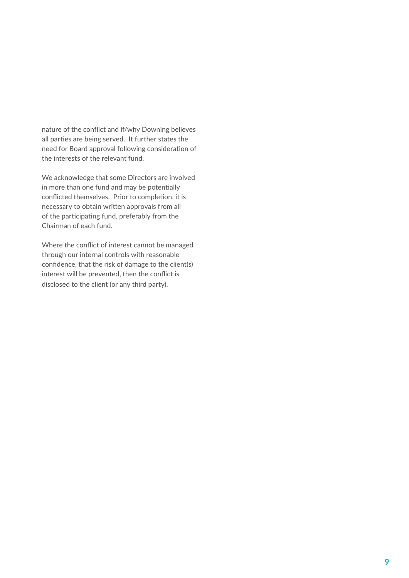nature of the confict and if/why Downing believes all parties are being served. It further states the need for Board approval following consideration of the interests of the relevant fund.

We acknowledge that some Directors are involved in more than one fund and may be potentially conflicted themselves. Prior to completion, it is necessary to obtain writen approvals from all of the participating fund, preferably from the Chairman of each fund.

Where the confict of interest cannot be managed through our internal controls with reasonable confdence, that the risk of damage to the client(s) interest will be prevented, then the confict is disclosed to the client (or any third party).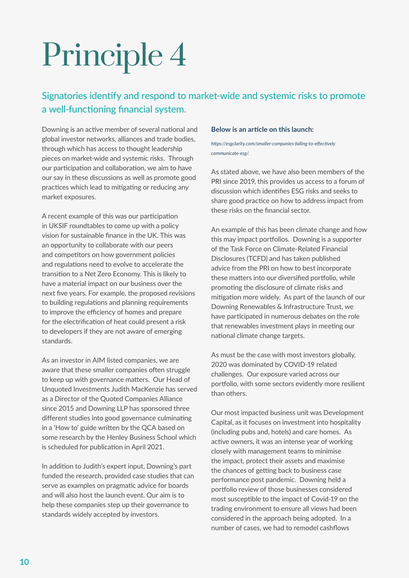### Signatories identfy and respond to market-wide and systemic risks to promote a well-functioning financial system.

Downing is an active member of several national and global investor networks, alliances and trade bodies, through which has access to thought leadership pieces on market-wide and systemic risks. Through our participation and collaboration, we aim to have our say in these discussions as well as promote good practices which lead to mitigating or reducing any market exposures.

A recent example of this was our participation in UKSIF roundtables to come up with a policy vision for sustainable fnance in the UK. This was an opportunity to collaborate with our peers and competitors on how government policies and regulations need to evolve to accelerate the transiton to a Net Zero Economy. This is likely to have a material impact on our business over the next fve years. For example, the proposed revisions to building regulations and planning requirements to improve the efficiency of homes and prepare for the electrification of heat could present a risk to developers if they are not aware of emerging standards.

As an investor in AIM listed companies, we are aware that these smaller companies often struggle to keep up with governance matters. Our Head of Unquoted Investments Judith MacKenzie has served as a Director of the Quoted Companies Alliance since 2015 and Downing LLP has sponsored three different studies into good governance culminating in a 'How to' guide writen by the QCA based on some research by the Henley Business School which is scheduled for publication in April 2021.

In additon to Judith's expert input, Downing's part funded the research, provided case studies that can serve as examples on pragmatic advice for boards and will also host the launch event. Our aim is to help these companies step up their governance to standards widely accepted by investors.

#### **Below is an article on this launch:**

*htps://esgclarity.com/smaller-companies-failing-to-efectvely communicate-esg/.*

As stated above, we have also been members of the PRI since 2019, this provides us access to a forum of discussion which identfes ESG risks and seeks to share good practice on how to address impact from these risks on the fnancial sector.

An example of this has been climate change and how this may impact portfolios. Downing is a supporter of the Task Force on Climate-Related Financial Disclosures (TCFD) and has taken published advice from the PRI on how to best incorporate these matters into our diversified portfolio, while promoting the disclosure of climate risks and mitigation more widely. As part of the launch of our Downing Renewables & Infrastructure Trust, we have participated in numerous debates on the role that renewables investment plays in meeting our national climate change targets.

As must be the case with most investors globally, 2020 was dominated by COVID-19 related challenges. Our exposure varied across our portfolio, with some sectors evidently more resilient than others.

Our most impacted business unit was Development Capital, as it focuses on investment into hospitality (including pubs and, hotels) and care homes. As active owners, it was an intense year of working closely with management teams to minimise the impact, protect their assets and maximise the chances of getting back to business case performance post pandemic. Downing held a portfolio review of those businesses considered most susceptible to the impact of Covid-19 on the trading environment to ensure all views had been considered in the approach being adopted. In a number of cases, we had to remodel cashfows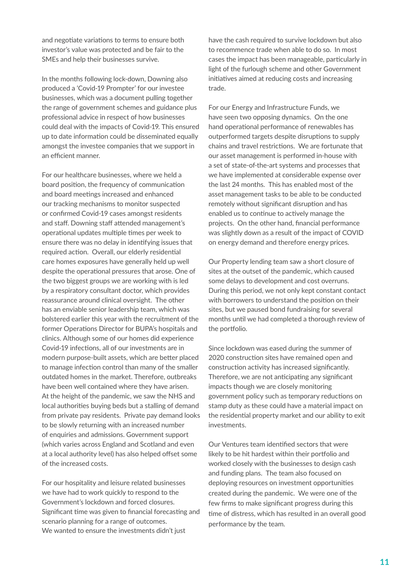and negotiate variations to terms to ensure both investor's value was protected and be fair to the SMEs and help their businesses survive.

In the months following lock-down, Downing also produced a 'Covid-19 Prompter' for our investee businesses, which was a document pulling together the range of government schemes and guidance plus professional advice in respect of how businesses could deal with the impacts of Covid-19. This ensured up to date information could be disseminated equally amongst the investee companies that we support in an efficient manner

For our healthcare businesses, where we held a board position, the frequency of communication and board meetings increased and enhanced our tracking mechanisms to monitor suspected or confrmed Covid-19 cases amongst residents and staff. Downing staff attended management's operational updates multiple times per week to ensure there was no delay in identfying issues that required action. Overall, our elderly residential care homes exposures have generally held up well despite the operational pressures that arose. One of the two biggest groups we are working with is led by a respiratory consultant doctor, which provides reassurance around clinical oversight. The other has an enviable senior leadership team, which was bolstered earlier this year with the recruitment of the former Operations Director for BUPA's hospitals and clinics. Although some of our homes did experience Covid-19 infections, all of our investments are in modern purpose-built assets, which are better placed to manage infection control than many of the smaller outdated homes in the market. Therefore, outbreaks have been well contained where they have arisen. At the height of the pandemic, we saw the NHS and local authorities buying beds but a stalling of demand from private pay residents. Private pay demand looks to be slowly returning with an increased number of enquiries and admissions. Government support (which varies across England and Scotland and even at a local authority level) has also helped offset some of the increased costs.

For our hospitality and leisure related businesses we have had to work quickly to respond to the Government's lockdown and forced closures. Significant time was given to financial forecasting and scenario planning for a range of outcomes. We wanted to ensure the investments didn't just

have the cash required to survive lockdown but also to recommence trade when able to do so. In most cases the impact has been manageable, particularly in light of the furlough scheme and other Government initiatives aimed at reducing costs and increasing trade.

For our Energy and Infrastructure Funds, we have seen two opposing dynamics. On the one hand operational performance of renewables has outperformed targets despite disruptions to supply chains and travel restrictions. We are fortunate that our asset management is performed in-house with a set of state-of-the-art systems and processes that we have implemented at considerable expense over the last 24 months. This has enabled most of the asset management tasks to be able to be conducted remotely without significant disruption and has enabled us to continue to actively manage the projects. On the other hand, fnancial performance was slightly down as a result of the impact of COVID on energy demand and therefore energy prices.

Our Property lending team saw a short closure of sites at the outset of the pandemic, which caused some delays to development and cost overruns. During this period, we not only kept constant contact with borrowers to understand the position on their sites, but we paused bond fundraising for several months until we had completed a thorough review of the portfolio.

Since lockdown was eased during the summer of 2020 construction sites have remained open and construction activity has increased significantly. Therefore, we are not anticipating any significant impacts though we are closely monitoring government policy such as temporary reductions on stamp duty as these could have a material impact on the residential property market and our ability to exit investments.

Our Ventures team identfed sectors that were likely to be hit hardest within their portfolio and worked closely with the businesses to design cash and funding plans. The team also focused on deploying resources on investment opportunites created during the pandemic. We were one of the few frms to make signifcant progress during this time of distress, which has resulted in an overall good performance by the team.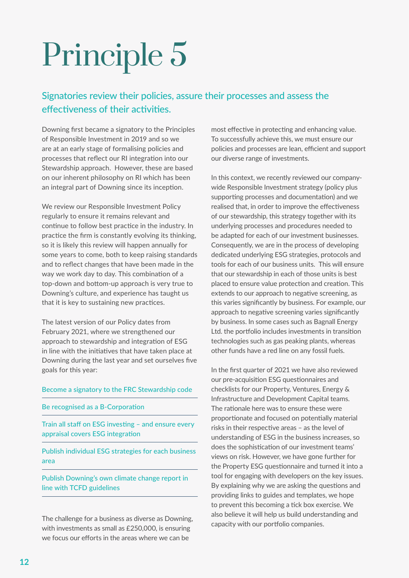### Signatories review their policies, assure their processes and assess the effectiveness of their activities.

Downing frst became a signatory to the Principles of Responsible Investment in 2019 and so we are at an early stage of formalising policies and processes that reflect our RI integration into our Stewardship approach. However, these are based on our inherent philosophy on RI which has been an integral part of Downing since its inception.

We review our Responsible Investment Policy regularly to ensure it remains relevant and continue to follow best practice in the industry. In practice the firm is constantly evolving its thinking, so it is likely this review will happen annually for some years to come, both to keep raising standards and to refect changes that have been made in the way we work day to day. This combination of a top-down and bottom-up approach is very true to Downing's culture, and experience has taught us that it is key to sustaining new practices.

The latest version of our Policy dates from February 2021, where we strengthened our approach to stewardship and integration of ESG in line with the initatves that have taken place at Downing during the last year and set ourselves fve goals for this year:

#### Become a signatory to the FRC Stewardship code

#### Be recognised as a B-Corporation

Train all staff on ESG investing - and ensure every appraisal covers ESG integration

Publish individual ESG strategies for each business area

Publish Downing's own climate change report in line with TCFD guidelines

The challenge for a business as diverse as Downing, with investments as small as £250,000, is ensuring we focus our efforts in the areas where we can be

most effective in protecting and enhancing value. To successfully achieve this, we must ensure our policies and processes are lean, efficient and support our diverse range of investments.

In this context, we recently reviewed our companywide Responsible Investment strategy (policy plus supporting processes and documentation) and we realised that, in order to improve the effectiveness of our stewardship, this strategy together with its underlying processes and procedures needed to be adapted for each of our investment businesses. Consequently, we are in the process of developing dedicated underlying ESG strategies, protocols and tools for each of our business units. This will ensure that our stewardship in each of those units is best placed to ensure value protection and creation. This extends to our approach to negative screening, as this varies signifcantly by business. For example, our approach to negative screening varies significantly by business. In some cases such as Bagnall Energy Ltd. the portfolio includes investments in transition technologies such as gas peaking plants, whereas other funds have a red line on any fossil fuels.

In the frst quarter of 2021 we have also reviewed our pre-acquisition ESG questionnaires and checklists for our Property, Ventures, Energy & Infrastructure and Development Capital teams. The rationale here was to ensure these were proportionate and focused on potentially material risks in their respective areas - as the level of understanding of ESG in the business increases, so does the sophistication of our investment teams' views on risk. However, we have gone further for the Property ESG questionnaire and turned it into a tool for engaging with developers on the key issues. By explaining why we are asking the questions and providing links to guides and templates, we hope to prevent this becoming a tick box exercise. We also believe it will help us build understanding and capacity with our portfolio companies.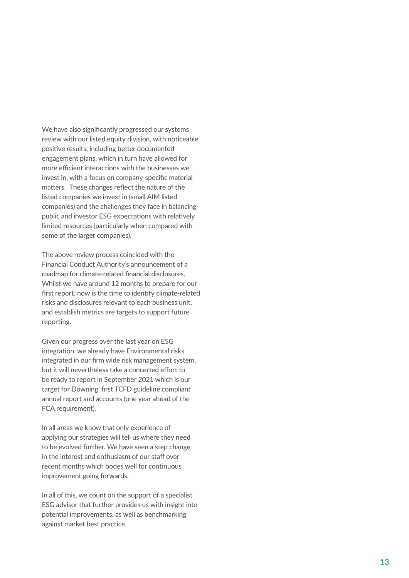We have also signifcantly progressed our systems review with our listed equity division, with noticeable positive results, including better documented engagement plans, which in turn have allowed for more efficient interactions with the businesses we invest in, with a focus on company-specifc material matters. These changes reflect the nature of the listed companies we invest in (small AIM listed companies) and the challenges they face in balancing public and investor ESG expectations with relatively limited resources (particularly when compared with some of the larger companies).

The above review process coincided with the Financial Conduct Authority's announcement of a roadmap for climate-related fnancial disclosures. Whilst we have around 12 months to prepare for our first report, now is the time to identify climate-related risks and disclosures relevant to each business unit, and establish metrics are targets to support future reporting.

Given our progress over the last year on ESG integration, we already have Environmental risks integrated in our frm wide risk management system, but it will nevertheless take a concerted effort to be ready to report in September 2021 which is our target for Downing' frst TCFD guideline compliant annual report and accounts (one year ahead of the FCA requirement).

In all areas we know that only experience of applying our strategies will tell us where they need to be evolved further. We have seen a step change in the interest and enthusiasm of our staff over recent months which bodes well for continuous improvement going forwards.

In all of this, we count on the support of a specialist ESG advisor that further provides us with insight into potental improvements, as well as benchmarking against market best practice.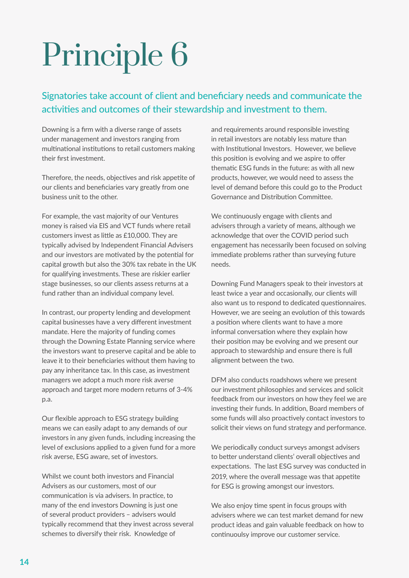### Signatories take account of client and benefciary needs and communicate the activities and outcomes of their stewardship and investment to them.

Downing is a frm with a diverse range of assets under management and investors ranging from multinational institutions to retail customers making their frst investment.

Therefore, the needs, objectives and risk appetite of our clients and benefciaries vary greatly from one business unit to the other.

For example, the vast majority of our Ventures money is raised via EIS and VCT funds where retail customers invest as litle as £10,000. They are typically advised by Independent Financial Advisers and our investors are motivated by the potential for capital growth but also the 30% tax rebate in the UK for qualifying investments. These are riskier earlier stage businesses, so our clients assess returns at a fund rather than an individual company level.

In contrast, our property lending and development capital businesses have a very diferent investment mandate. Here the majority of funding comes through the Downing Estate Planning service where the investors want to preserve capital and be able to leave it to their benefciaries without them having to pay any inheritance tax. In this case, as investment managers we adopt a much more risk averse approach and target more modern returns of 3-4% p.a.

Our flexible approach to ESG strategy building means we can easily adapt to any demands of our investors in any given funds, including increasing the level of exclusions applied to a given fund for a more risk averse, ESG aware, set of investors.

Whilst we count both investors and Financial Advisers as our customers, most of our communication is via advisers. In practice, to many of the end investors Downing is just one of several product providers – advisers would typically recommend that they invest across several schemes to diversify their risk. Knowledge of

and requirements around responsible investing in retail investors are notably less mature than with Institutional Investors. However, we believe this position is evolving and we aspire to offer thematic ESG funds in the future: as with all new products, however, we would need to assess the level of demand before this could go to the Product Governance and Distribution Committee.

We continuously engage with clients and advisers through a variety of means, although we acknowledge that over the COVID period such engagement has necessarily been focused on solving immediate problems rather than surveying future needs.

Downing Fund Managers speak to their investors at least twice a year and occasionally, our clients will also want us to respond to dedicated questionnaires. However, we are seeing an evolution of this towards a positon where clients want to have a more informal conversation where they explain how their position may be evolving and we present our approach to stewardship and ensure there is full alignment between the two.

DFM also conducts roadshows where we present our investment philosophies and services and solicit feedback from our investors on how they feel we are investing their funds. In addition, Board members of some funds will also proactively contact investors to solicit their views on fund strategy and performance.

We periodically conduct surveys amongst advisers to better understand clients' overall objectives and expectations. The last ESG survey was conducted in 2019, where the overall message was that appetite for ESG is growing amongst our investors.

We also enjoy time spent in focus groups with advisers where we can test market demand for new product ideas and gain valuable feedback on how to continuoulsy improve our customer service.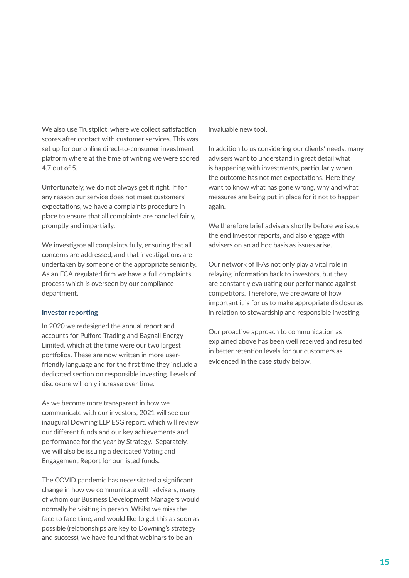We also use Trustpilot, where we collect satisfaction scores after contact with customer services. This was set up for our online direct-to-consumer investment platform where at the time of writing we were scored 4.7 out of 5.

Unfortunately, we do not always get it right. If for any reason our service does not meet customers' expectations, we have a complaints procedure in place to ensure that all complaints are handled fairly, promptly and impartially.

We investigate all complaints fully, ensuring that all concerns are addressed, and that investigations are undertaken by someone of the appropriate seniority. As an FCA regulated frm we have a full complaints process which is overseen by our compliance department.

#### **Investor reporting**

In 2020 we redesigned the annual report and accounts for Pulford Trading and Bagnall Energy Limited, which at the time were our two largest portfolios. These are now written in more userfriendly language and for the first time they include a dedicated section on responsible investing. Levels of disclosure will only increase over tme.

As we become more transparent in how we communicate with our investors, 2021 will see our inaugural Downing LLP ESG report, which will review our diferent funds and our key achievements and performance for the year by Strategy. Separately, we will also be issuing a dedicated Voting and Engagement Report for our listed funds.

The COVID pandemic has necessitated a signifcant change in how we communicate with advisers, many of whom our Business Development Managers would normally be visiting in person. Whilst we miss the face to face tme, and would like to get this as soon as possible (relationships are key to Downing's strategy and success), we have found that webinars to be an

invaluable new tool.

In addition to us considering our clients' needs, many advisers want to understand in great detail what is happening with investments, particularly when the outcome has not met expectations. Here they want to know what has gone wrong, why and what measures are being put in place for it not to happen again.

We therefore brief advisers shortly before we issue the end investor reports, and also engage with advisers on an ad hoc basis as issues arise.

Our network of IFAs not only play a vital role in relaying information back to investors, but they are constantly evaluating our performance against competitors. Therefore, we are aware of how important it is for us to make appropriate disclosures in relation to stewardship and responsible investing.

Our proactive approach to communication as explained above has been well received and resulted in better retention levels for our customers as evidenced in the case study below.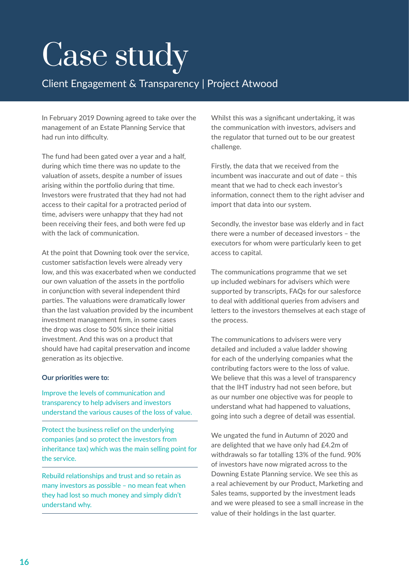## Case study

### Client Engagement & Transparency | Project Atwood

In February 2019 Downing agreed to take over the management of an Estate Planning Service that had run into difficulty.

The fund had been gated over a year and a half, during which time there was no update to the valuation of assets, despite a number of issues arising within the portfolio during that time. Investors were frustrated that they had not had access to their capital for a protracted period of tme, advisers were unhappy that they had not been receiving their fees, and both were fed up with the lack of communication.

At the point that Downing took over the service, customer satisfaction levels were already very low, and this was exacerbated when we conducted our own valuation of the assets in the portfolio in conjunction with several independent third parties. The valuations were dramatically lower than the last valuation provided by the incumbent investment management frm, in some cases the drop was close to 50% since their inital investment. And this was on a product that should have had capital preservation and income generation as its objective.

### **Our priorities were to:**

Improve the levels of communication and transparency to help advisers and investors understand the various causes of the loss of value.

Protect the business relief on the underlying companies (and so protect the investors from inheritance tax) which was the main selling point for the service.

Rebuild relationships and trust and so retain as many investors as possible – no mean feat when they had lost so much money and simply didn't understand why.

Whilst this was a signifcant undertaking, it was the communication with investors, advisers and the regulator that turned out to be our greatest challenge.

Firstly, the data that we received from the incumbent was inaccurate and out of date – this meant that we had to check each investor's informaton, connect them to the right adviser and import that data into our system.

Secondly, the investor base was elderly and in fact there were a number of deceased investors – the executors for whom were particularly keen to get access to capital.

The communications programme that we set up included webinars for advisers which were supported by transcripts, FAQs for our salesforce to deal with additonal queries from advisers and letters to the investors themselves at each stage of the process.

The communications to advisers were very detailed and included a value ladder showing for each of the underlying companies what the contributing factors were to the loss of value. We believe that this was a level of transparency that the IHT industry had not seen before, but as our number one objective was for people to understand what had happened to valuations, going into such a degree of detail was essental.

We ungated the fund in Autumn of 2020 and are delighted that we have only had £4.2m of withdrawals so far totalling 13% of the fund. 90% of investors have now migrated across to the Downing Estate Planning service. We see this as a real achievement by our Product, Marketing and Sales teams, supported by the investment leads and we were pleased to see a small increase in the value of their holdings in the last quarter.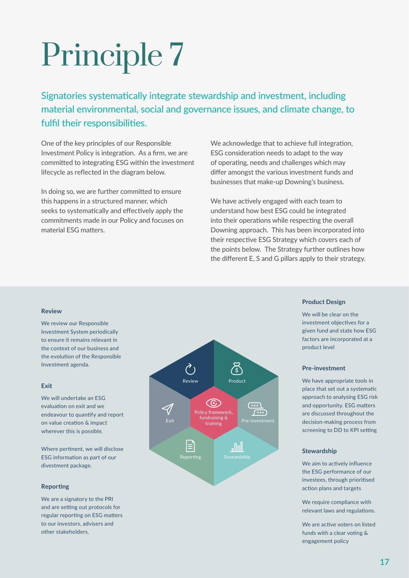Signatories systematically integrate stewardship and investment, including material environmental, social and governance issues, and climate change, to fulfil their responsibilities.

One of the key principles of our Responsible Investment Policy is integration. As a firm, we are committed to integrating ESG within the investment lifecycle as refected in the diagram below.

In doing so, we are further commited to ensure this happens in a structured manner, which seeks to systematically and effectively apply the commitments made in our Policy and focuses on material ESG matters.

We acknowledge that to achieve full integration, ESG consideration needs to adapt to the way of operating, needs and challenges which may difer amongst the various investment funds and businesses that make-up Downing's business.

We have actively engaged with each team to understand how best ESG could be integrated into their operations while respecting the overall Downing approach. This has been incorporated into their respective ESG Strategy which covers each of the points below. The Strategy further outlines how the diferent E, S and G pillars apply to their strategy.

#### **Review**

We review our Responsible Investment System periodically to ensure it remains relevant in the context of our business and the evolution of the Responsible Investment agenda.

#### **Exit**

We will undertake an ESG evaluation on exit and we endeavour to quantify and report on value creation & impact wherever this is possible.

Where pertinent, we will disclose ESG information as part of our divestment package.

#### **Reporting**

We are a signatory to the PRI and are setting out protocols for regular reporting on ESG matters to our investors, advisers and other stakeholders.



#### **Product Design**

We will be clear on the investment objectives for a given fund and state how ESG factors are incorporated at a product level

#### **Pre-investment**

We have appropriate tools in place that set out a systematic approach to analysing ESG risk and opportunity. ESG matters are discussed throughout the decision-making process from screening to DD to KPI setting

#### **Stewardship**

We aim to actively influence the ESG performance of our investees, through prioritised action plans and targets

We require compliance with relevant laws and regulations.

We are active voters on listed funds with a clear voting & engagement policy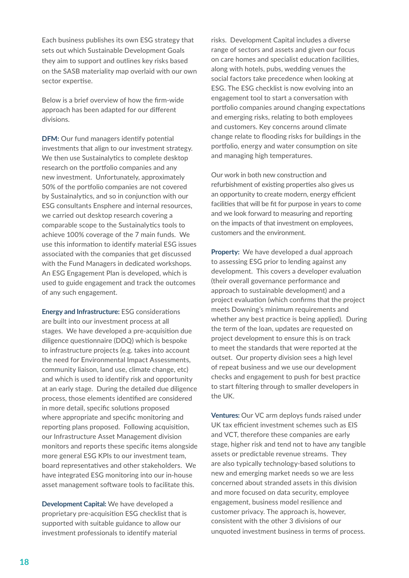Each business publishes its own ESG strategy that sets out which Sustainable Development Goals they aim to support and outlines key risks based on the SASB materiality map overlaid with our own sector expertise.

Below is a brief overview of how the frm-wide approach has been adapted for our diferent divisions.

**DFM:** Our fund managers identify potential investments that align to our investment strategy. We then use Sustainalytics to complete desktop research on the portfolio companies and any new investment. Unfortunately, approximately 50% of the portfolio companies are not covered by Sustainalytics, and so in conjunction with our ESG consultants Ensphere and internal resources, we carried out desktop research covering a comparable scope to the Sustainalytics tools to achieve 100% coverage of the 7 main funds. We use this information to identify material ESG issues associated with the companies that get discussed with the Fund Managers in dedicated workshops. An ESG Engagement Plan is developed, which is used to guide engagement and track the outcomes of any such engagement.

**Energy and Infrastructure:** ESG considerations are built into our investment process at all stages. We have developed a pre-acquisiton due diligence questionnaire (DDQ) which is bespoke to infrastructure projects (e.g. takes into account the need for Environmental Impact Assessments, community liaison, land use, climate change, etc) and which is used to identfy risk and opportunity at an early stage. During the detailed due diligence process, those elements identified are considered in more detail, specific solutions proposed where appropriate and specifc monitoring and reporting plans proposed. Following acquisition, our Infrastructure Asset Management division monitors and reports these specifc items alongside more general ESG KPIs to our investment team, board representatves and other stakeholders. We have integrated ESG monitoring into our in-house asset management software tools to facilitate this.

**Development Capital:** We have developed a proprietary pre-acquisiton ESG checklist that is supported with suitable guidance to allow our investment professionals to identfy material

risks. Development Capital includes a diverse range of sectors and assets and given our focus on care homes and specialist education facilities, along with hotels, pubs, wedding venues the social factors take precedence when looking at ESG. The ESG checklist is now evolving into an engagement tool to start a conversation with portfolio companies around changing expectations and emerging risks, relating to both employees and customers. Key concerns around climate change relate to fooding risks for buildings in the portfolio, energy and water consumption on site and managing high temperatures.

Our work in both new construction and refurbishment of existing properties also gives us an opportunity to create modern, energy efficient facilites that will be ft for purpose in years to come and we look forward to measuring and reporting on the impacts of that investment on employees, customers and the environment.

**Property:** We have developed a dual approach to assessing ESG prior to lending against any development. This covers a developer evaluation (their overall governance performance and approach to sustainable development) and a project evaluaton (which confrms that the project meets Downing's minimum requirements and whether any best practice is being applied). During the term of the loan, updates are requested on project development to ensure this is on track to meet the standards that were reported at the outset. Our property division sees a high level of repeat business and we use our development checks and engagement to push for best practice to start fltering through to smaller developers in the UK.

**Ventures:** Our VC arm deploys funds raised under UK tax efficient investment schemes such as EIS and VCT, therefore these companies are early stage, higher risk and tend not to have any tangible assets or predictable revenue streams. They are also typically technology-based solutions to new and emerging market needs so we are less concerned about stranded assets in this division and more focused on data security, employee engagement, business model resilience and customer privacy. The approach is, however, consistent with the other 3 divisions of our unquoted investment business in terms of process.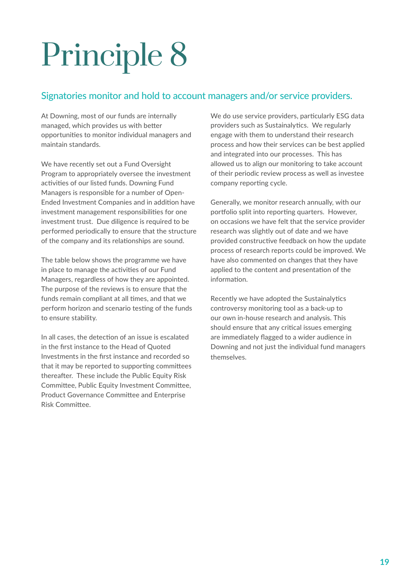### Signatories monitor and hold to account managers and/or service providers.

At Downing, most of our funds are internally managed, which provides us with better opportunites to monitor individual managers and maintain standards.

We have recently set out a Fund Oversight Program to appropriately oversee the investment activities of our listed funds. Downing Fund Managers is responsible for a number of Open-Ended Investment Companies and in additon have investment management responsibilities for one investment trust. Due diligence is required to be performed periodically to ensure that the structure of the company and its relationships are sound.

The table below shows the programme we have in place to manage the activities of our Fund Managers, regardless of how they are appointed. The purpose of the reviews is to ensure that the funds remain compliant at all tmes, and that we perform horizon and scenario testing of the funds to ensure stability.

In all cases, the detection of an issue is escalated in the frst instance to the Head of Quoted Investments in the frst instance and recorded so that it may be reported to supporting committees thereafter. These include the Public Equity Risk Commitee, Public Equity Investment Commitee, Product Governance Commitee and Enterprise Risk Commitee.

We do use service providers, particularly ESG data providers such as Sustainalytics. We regularly engage with them to understand their research process and how their services can be best applied and integrated into our processes. This has allowed us to align our monitoring to take account of their periodic review process as well as investee company reporting cycle.

Generally, we monitor research annually, with our portfolio split into reporting quarters. However, on occasions we have felt that the service provider research was slightly out of date and we have provided constructive feedback on how the update process of research reports could be improved. We have also commented on changes that they have applied to the content and presentation of the information.

Recently we have adopted the Sustainalytics controversy monitoring tool as a back-up to our own in-house research and analysis. This should ensure that any critical issues emerging are immediately fagged to a wider audience in Downing and not just the individual fund managers themselves.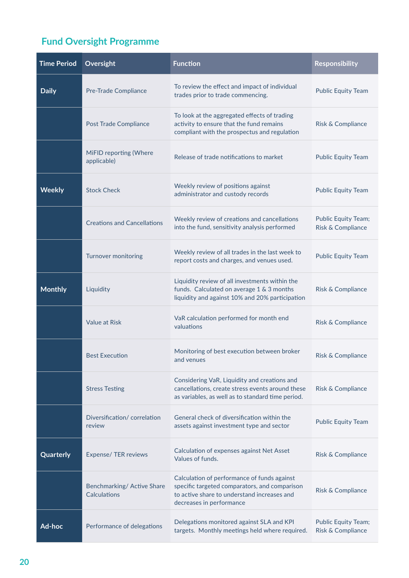### **Fund Oversight Programme**

| <b>Time Period</b> | Oversight                                 | <b>Function</b>                                                                                                                                                         | <b>Responsibility</b>                           |
|--------------------|-------------------------------------------|-------------------------------------------------------------------------------------------------------------------------------------------------------------------------|-------------------------------------------------|
| <b>Daily</b>       | <b>Pre-Trade Compliance</b>               | To review the effect and impact of individual<br>trades prior to trade commencing.                                                                                      | <b>Public Equity Team</b>                       |
|                    | <b>Post Trade Compliance</b>              | To look at the aggregated effects of trading<br>activity to ensure that the fund remains<br>compliant with the prospectus and regulation                                | Risk & Compliance                               |
|                    | MiFID reporting (Where<br>applicable)     | Release of trade notifications to market                                                                                                                                | <b>Public Equity Team</b>                       |
| <b>Weekly</b>      | <b>Stock Check</b>                        | Weekly review of positions against<br>administrator and custody records                                                                                                 | <b>Public Equity Team</b>                       |
|                    | <b>Creations and Cancellations</b>        | Weekly review of creations and cancellations<br>into the fund, sensitivity analysis performed                                                                           | <b>Public Equity Team;</b><br>Risk & Compliance |
|                    | Turnover monitoring                       | Weekly review of all trades in the last week to<br>report costs and charges, and venues used.                                                                           | <b>Public Equity Team</b>                       |
| <b>Monthly</b>     | Liquidity                                 | Liquidity review of all investments within the<br>funds. Calculated on average 1 & 3 months<br>liquidity and against 10% and 20% participation                          | Risk & Compliance                               |
|                    | <b>Value at Risk</b>                      | VaR calculation performed for month end<br>valuations                                                                                                                   | Risk & Compliance                               |
|                    | <b>Best Execution</b>                     | Monitoring of best execution between broker<br>and venues                                                                                                               | Risk & Compliance                               |
|                    | <b>Stress Testing</b>                     | Considering VaR, Liquidity and creations and<br>cancellations, create stress events around these<br>as variables, as well as to standard time period.                   | <b>Risk &amp; Compliance</b>                    |
|                    | Diversification/correlation<br>review     | General check of diversification within the<br>assets against investment type and sector                                                                                | <b>Public Equity Team</b>                       |
| Quarterly          | Expense/ TER reviews                      | Calculation of expenses against Net Asset<br>Values of funds.                                                                                                           | Risk & Compliance                               |
|                    | Benchmarking/Active Share<br>Calculations | Calculation of performance of funds against<br>specific targeted comparators, and comparison<br>to active share to understand increases and<br>decreases in performance | Risk & Compliance                               |
| Ad-hoc             | Performance of delegations                | Delegations monitored against SLA and KPI<br>targets. Monthly meetings held where required.                                                                             | <b>Public Equity Team;</b><br>Risk & Compliance |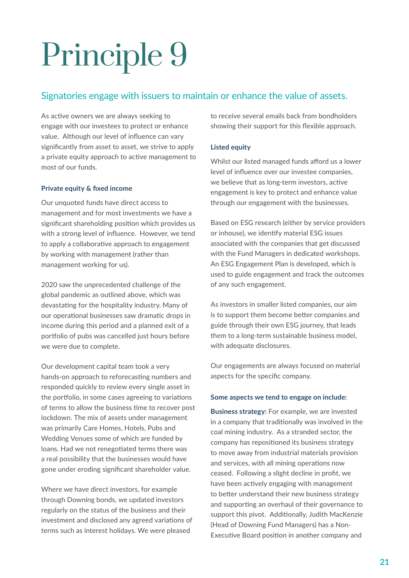### Signatories engage with issuers to maintain or enhance the value of assets.

As active owners we are always seeking to engage with our investees to protect or enhance value. Although our level of infuence can vary signifcantly from asset to asset, we strive to apply a private equity approach to active management to most of our funds.

### **Private equity & fxed income**

Our unquoted funds have direct access to management and for most investments we have a signifcant shareholding positon which provides us with a strong level of infuence. However, we tend to apply a collaborative approach to engagement by working with management (rather than management working for us).

2020 saw the unprecedented challenge of the global pandemic as outlined above, which was devastating for the hospitality industry. Many of our operational businesses saw dramatic drops in income during this period and a planned exit of a portfolio of pubs was cancelled just hours before we were due to complete.

Our development capital team took a very hands-on approach to reforecasting numbers and responded quickly to review every single asset in the portfolio, in some cases agreeing to variations of terms to allow the business tme to recover post lockdown. The mix of assets under management was primarily Care Homes, Hotels, Pubs and Wedding Venues some of which are funded by loans. Had we not renegotiated terms there was a real possibility that the businesses would have gone under eroding signifcant shareholder value.

Where we have direct investors, for example through Downing bonds, we updated investors regularly on the status of the business and their investment and disclosed any agreed variations of terms such as interest holidays. We were pleased

to receive several emails back from bondholders showing their support for this fexible approach.

### **Listed equity**

Whilst our listed managed funds afford us a lower level of infuence over our investee companies, we believe that as long-term investors, active engagement is key to protect and enhance value through our engagement with the businesses.

Based on ESG research (either by service providers or inhouse), we identfy material ESG issues associated with the companies that get discussed with the Fund Managers in dedicated workshops. An ESG Engagement Plan is developed, which is used to guide engagement and track the outcomes of any such engagement.

As investors in smaller listed companies, our aim is to support them become better companies and guide through their own ESG journey, that leads them to a long-term sustainable business model, with adequate disclosures.

Our engagements are always focused on material aspects for the specifc company.

### **Some aspects we tend to engage on include:**

**Business strategy:** For example, we are invested in a company that traditonally was involved in the coal mining industry. As a stranded sector, the company has repositoned its business strategy to move away from industrial materials provision and services, with all mining operations now ceased. Following a slight decline in proft, we have been actively engaging with management to better understand their new business strategy and supporting an overhaul of their governance to support this pivot. Additionally, Judith MacKenzie (Head of Downing Fund Managers) has a Non-Executive Board position in another company and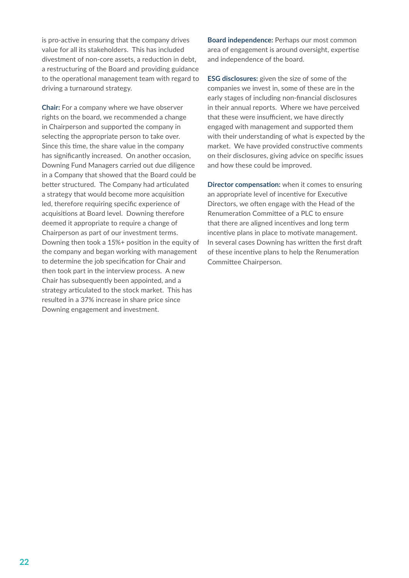is pro-active in ensuring that the company drives value for all its stakeholders. This has included divestment of non-core assets, a reduction in debt, a restructuring of the Board and providing guidance to the operational management team with regard to driving a turnaround strategy.

**Chair:** For a company where we have observer rights on the board, we recommended a change in Chairperson and supported the company in selecting the appropriate person to take over. Since this time, the share value in the company has signifcantly increased. On another occasion, Downing Fund Managers carried out due diligence in a Company that showed that the Board could be better structured. The Company had articulated a strategy that would become more acquisiton led, therefore requiring specifc experience of acquisitons at Board level. Downing therefore deemed it appropriate to require a change of Chairperson as part of our investment terms. Downing then took a 15%+ positon in the equity of the company and began working with management to determine the job specification for Chair and then took part in the interview process. A new Chair has subsequently been appointed, and a strategy articulated to the stock market. This has resulted in a 37% increase in share price since Downing engagement and investment.

**Board independence:** Perhaps our most common area of engagement is around oversight, expertise and independence of the board.

**ESG disclosures:** given the size of some of the companies we invest in, some of these are in the early stages of including non-fnancial disclosures in their annual reports. Where we have perceived that these were insufficient, we have directly engaged with management and supported them with their understanding of what is expected by the market. We have provided constructive comments on their disclosures, giving advice on specifc issues and how these could be improved.

**Director compensation:** when it comes to ensuring an appropriate level of incentive for Executive Directors, we often engage with the Head of the Renumeration Committee of a PLC to ensure that there are aligned incentves and long term incentive plans in place to motivate management. In several cases Downing has written the first draft of these incentive plans to help the Renumeration Commitee Chairperson.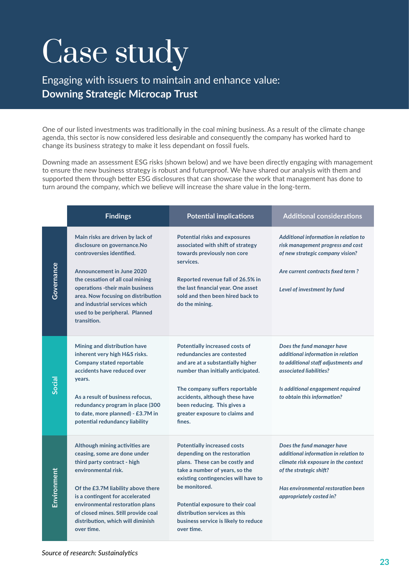## Case study

Engaging with issuers to maintain and enhance value: **Downing Strategic Microcap Trust**

One of our listed investments was traditonally in the coal mining business. As a result of the climate change agenda, this sector is now considered less desirable and consequently the company has worked hard to change its business strategy to make it less dependant on fossil fuels.

Downing made an assessment ESG risks (shown below) and we have been directly engaging with management to ensure the new business strategy is robust and futureproof. We have shared our analysis with them and supported them through beter ESG disclosures that can showcase the work that management has done to turn around the company, which we believe will increase the share value in the long-term.

|                    | <b>Findings</b>                                                                                                                                                                                                                                                                                                                 | <b>Potential implications</b>                                                                                                                                                                                                                                                                                             | <b>Additional considerations</b>                                                                                                                                                                         |
|--------------------|---------------------------------------------------------------------------------------------------------------------------------------------------------------------------------------------------------------------------------------------------------------------------------------------------------------------------------|---------------------------------------------------------------------------------------------------------------------------------------------------------------------------------------------------------------------------------------------------------------------------------------------------------------------------|----------------------------------------------------------------------------------------------------------------------------------------------------------------------------------------------------------|
| Governance         | Main risks are driven by lack of<br>disclosure on governance.No<br>controversies identified.<br><b>Announcement in June 2020</b><br>the cessation of all coal mining<br>operations -their main business<br>area. Now focusing on distribution<br>and industrial services which<br>used to be peripheral. Planned<br>transition. | <b>Potential risks and exposures</b><br>associated with shift of strategy<br>towards previously non core<br>services.<br>Reported revenue fall of 26.5% in<br>the last financial year. One asset<br>sold and then been hired back to<br>do the mining.                                                                    | Additional information in relation to<br>risk management progress and cost<br>of new strategic company vision?<br>Are current contracts fixed term?<br>Level of investment by fund                       |
| Social             | Mining and distribution have<br>inherent very high H&S risks.<br><b>Company stated reportable</b><br>accidents have reduced over<br>years.<br>As a result of business refocus,<br>redundancy program in place (300<br>to date, more planned) - £3.7M in<br>potential redundancy liability                                       | <b>Potentially increased costs of</b><br>redundancies are contested<br>and are at a substantially higher<br>number than initially anticipated.<br>The company suffers reportable<br>accidents, although these have<br>been reducing. This gives a<br>greater exposure to claims and<br>fines.                             | Does the fund manager have<br>additional information in relation<br>to additional staff adjustments and<br>associated liabilities?<br>Is additional engagement required<br>to obtain this information?   |
| <u>Environment</u> | Although mining activities are<br>ceasing, some are done under<br>third party contract - high<br>environmental risk.<br>Of the £3.7M liability above there<br>is a contingent for accelerated<br>environmental restoration plans<br>of closed mines. Still provide coal<br>distribution, which will diminish<br>over time.      | <b>Potentially increased costs</b><br>depending on the restoration<br>plans. These can be costly and<br>take a number of years, so the<br>existing contingencies will have to<br>be monitored.<br>Potential exposure to their coal<br>distribution services as this<br>business service is likely to reduce<br>over time. | Does the fund manager have<br>additional information in relation to<br>climate risk exposure in the context<br>of the strategic shift?<br>Has environmental restoration been<br>appropriately costed in? |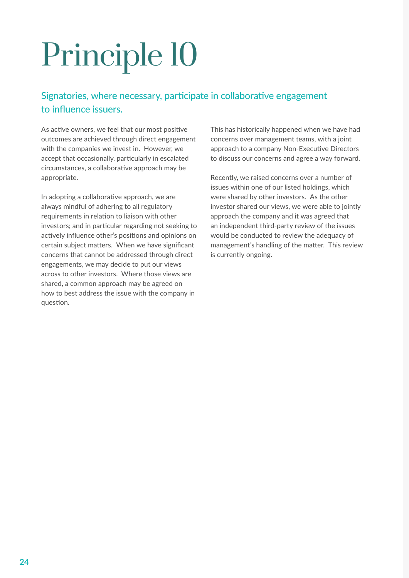### Signatories, where necessary, participate in collaborative engagement to infuence issuers.

As active owners, we feel that our most positive outcomes are achieved through direct engagement with the companies we invest in. However, we accept that occasionally, particularly in escalated circumstances, a collaborative approach may be appropriate.

In adopting a collaborative approach, we are always mindful of adhering to all regulatory requirements in relation to liaison with other investors; and in particular regarding not seeking to actively influence other's positions and opinions on certain subject matters. When we have significant concerns that cannot be addressed through direct engagements, we may decide to put our views across to other investors. Where those views are shared, a common approach may be agreed on how to best address the issue with the company in question.

This has historically happened when we have had concerns over management teams, with a joint approach to a company Non-Executive Directors to discuss our concerns and agree a way forward.

Recently, we raised concerns over a number of issues within one of our listed holdings, which were shared by other investors. As the other investor shared our views, we were able to jointly approach the company and it was agreed that an independent third-party review of the issues would be conducted to review the adequacy of management's handling of the matter. This review is currently ongoing.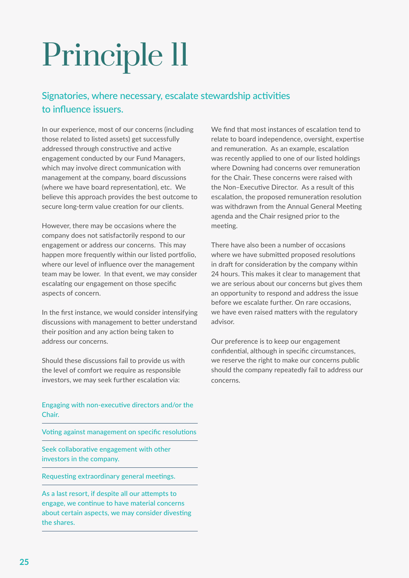### Signatories, where necessary, escalate stewardship activities to infuence issuers.

In our experience, most of our concerns (including those related to listed assets) get successfully addressed through constructive and active engagement conducted by our Fund Managers, which may involve direct communication with management at the company, board discussions (where we have board representation), etc. We believe this approach provides the best outcome to secure long-term value creation for our clients.

However, there may be occasions where the company does not satisfactorily respond to our engagement or address our concerns. This may happen more frequently within our listed portfolio, where our level of infuence over the management team may be lower. In that event, we may consider escalating our engagement on those specific aspects of concern.

In the frst instance, we would consider intensifying discussions with management to better understand their position and any action being taken to address our concerns.

Should these discussions fail to provide us with the level of comfort we require as responsible investors, we may seek further escalation via:

Engaging with non-executve directors and/or the Chair.

Votng against management on specifc resolutons

Seek collaborative engagement with other investors in the company.

Requesting extraordinary general meetings.

As a last resort, if despite all our atempts to engage, we continue to have material concerns about certain aspects, we may consider divesting the shares.

We find that most instances of escalation tend to relate to board independence, oversight, expertise and remuneration. As an example, escalation was recently applied to one of our listed holdings where Downing had concerns over remuneration for the Chair. These concerns were raised with the Non–Executive Director. As a result of this escalation, the proposed remuneration resolution was withdrawn from the Annual General Meeting agenda and the Chair resigned prior to the meeting.

There have also been a number of occasions where we have submitted proposed resolutions in draft for consideration by the company within 24 hours. This makes it clear to management that we are serious about our concerns but gives them an opportunity to respond and address the issue before we escalate further. On rare occasions, we have even raised matters with the regulatory advisor.

Our preference is to keep our engagement confidential, although in specific circumstances, we reserve the right to make our concerns public should the company repeatedly fail to address our concerns.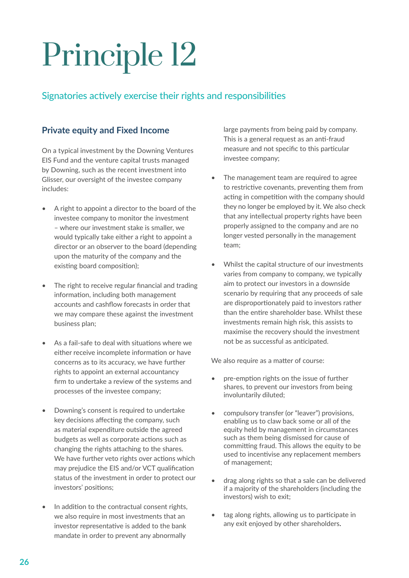### Signatories actively exercise their rights and responsibilities

### **Private equity and Fixed Income**

On a typical investment by the Downing Ventures EIS Fund and the venture capital trusts managed by Downing, such as the recent investment into Glisser, our oversight of the investee company includes:

- A right to appoint a director to the board of the investee company to monitor the investment – where our investment stake is smaller, we would typically take either a right to appoint a director or an observer to the board (depending upon the maturity of the company and the existing board composition);
- The right to receive regular financial and trading information, including both management accounts and cashfow forecasts in order that we may compare these against the investment business plan;
- As a fail-safe to deal with situations where we either receive incomplete information or have concerns as to its accuracy, we have further rights to appoint an external accountancy frm to undertake a review of the systems and processes of the investee company;
- Downing's consent is required to undertake key decisions affecting the company, such as material expenditure outside the agreed budgets as well as corporate actions such as changing the rights ataching to the shares. We have further veto rights over actions which may prejudice the EIS and/or VCT qualification status of the investment in order to protect our investors' positons;
- In addition to the contractual consent rights, we also require in most investments that an investor representative is added to the bank mandate in order to prevent any abnormally

large payments from being paid by company. This is a general request as an anti-fraud measure and not specific to this particular investee company;

- The management team are required to agree to restrictive covenants, preventing them from acting in competition with the company should they no longer be employed by it. We also check that any intellectual property rights have been properly assigned to the company and are no longer vested personally in the management team;
- Whilst the capital structure of our investments varies from company to company, we typically aim to protect our investors in a downside scenario by requiring that any proceeds of sale are disproportionately paid to investors rather than the entre shareholder base. Whilst these investments remain high risk, this assists to maximise the recovery should the investment not be as successful as anticipated.

We also require as a matter of course:

- pre-emption rights on the issue of further shares, to prevent our investors from being involuntarily diluted;
- compulsory transfer (or "leaver") provisions, enabling us to claw back some or all of the equity held by management in circumstances such as them being dismissed for cause of committing fraud. This allows the equity to be used to incentivise any replacement members of management;
- drag along rights so that a sale can be delivered if a majority of the shareholders (including the investors) wish to exit;
- tag along rights, allowing us to participate in any exit enjoyed by other shareholders.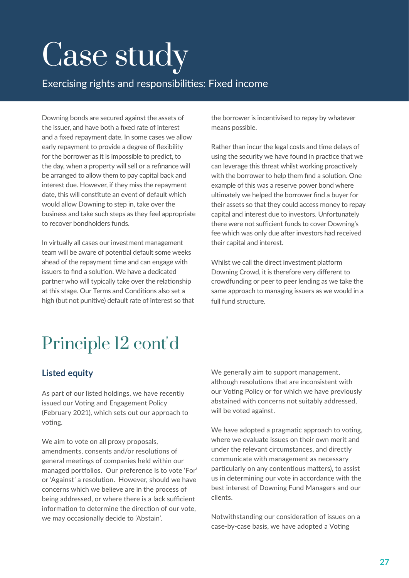## Case study

Exercising rights and responsibilites: Fixed income

Downing bonds are secured against the assets of the issuer, and have both a fxed rate of interest and a fxed repayment date. In some cases we allow early repayment to provide a degree of fexibility for the borrower as it is impossible to predict, to the day, when a property will sell or a refnance will be arranged to allow them to pay capital back and interest due. However, if they miss the repayment date, this will constitute an event of default which would allow Downing to step in, take over the business and take such steps as they feel appropriate to recover bondholders funds.

In virtually all cases our investment management team will be aware of potental default some weeks ahead of the repayment time and can engage with issuers to find a solution. We have a dedicated partner who will typically take over the relationship at this stage. Our Terms and Conditons also set a high (but not punitive) default rate of interest so that the borrower is incentivised to repay by whatever means possible.

Rather than incur the legal costs and tme delays of using the security we have found in practice that we can leverage this threat whilst working proactively with the borrower to help them find a solution. One example of this was a reserve power bond where ultmately we helped the borrower fnd a buyer for their assets so that they could access money to repay capital and interest due to investors. Unfortunately there were not sufficient funds to cover Downing's fee which was only due after investors had received their capital and interest.

Whilst we call the direct investment platform Downing Crowd, it is therefore very diferent to crowdfunding or peer to peer lending as we take the same approach to managing issuers as we would in a full fund structure.

### Principle 12 cont'd

### **Listed equity**

As part of our listed holdings, we have recently issued our Voting and Engagement Policy (February 2021), which sets out our approach to voting.

We aim to vote on all proxy proposals, amendments, consents and/or resolutions of general meetings of companies held within our managed portfolios. Our preference is to vote 'For' or 'Against' a resolution. However, should we have concerns which we believe are in the process of being addressed, or where there is a lack sufficient information to determine the direction of our vote. we may occasionally decide to 'Abstain'.

We generally aim to support management, although resolutions that are inconsistent with our Voting Policy or for which we have previously abstained with concerns not suitably addressed, will be voted against.

We have adopted a pragmatic approach to voting, where we evaluate issues on their own merit and under the relevant circumstances, and directly communicate with management as necessary particularly on any contentious matters), to assist us in determining our vote in accordance with the best interest of Downing Fund Managers and our clients.

Notwithstanding our consideration of issues on a case-by-case basis, we have adopted a Voting